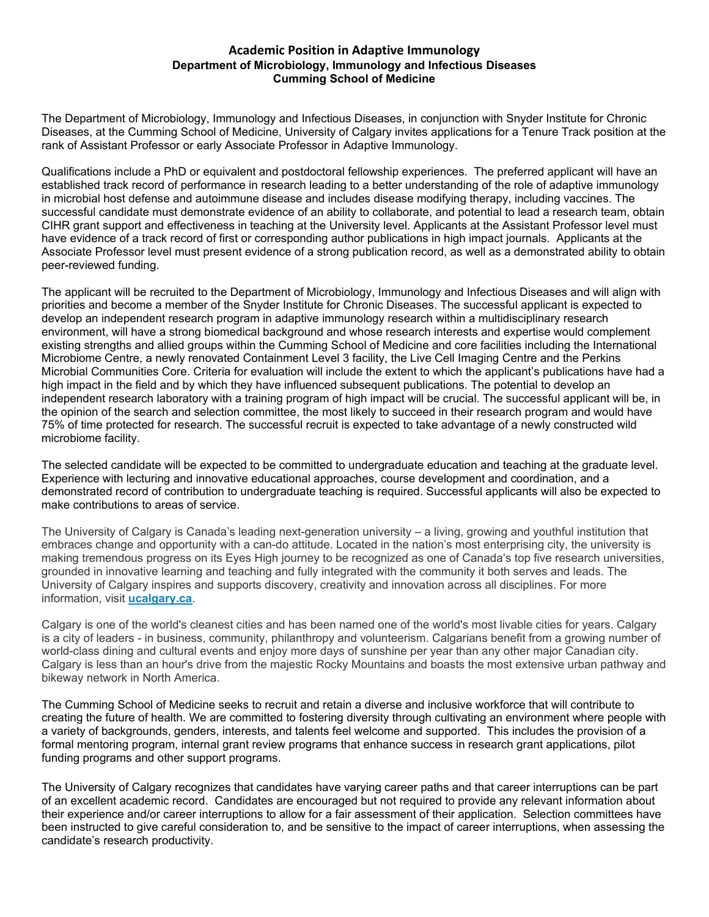## **Academic Position in Adaptive Immunology Department of Microbiology, Immunology and Infectious Diseases Cumming School of Medicine**

The Department of Microbiology, Immunology and Infectious Diseases, in conjunction with Snyder Institute for Chronic Diseases, at the Cumming School of Medicine, University of Calgary invites applications for a Tenure Track position at the rank of Assistant Professor or early Associate Professor in Adaptive Immunology.

Qualifications include a PhD or equivalent and postdoctoral fellowship experiences. The preferred applicant will have an established track record of performance in research leading to a better understanding of the role of adaptive immunology in microbial host defense and autoimmune disease and includes disease modifying therapy, including vaccines. The successful candidate must demonstrate evidence of an ability to collaborate, and potential to lead a research team, obtain CIHR grant support and effectiveness in teaching at the University level. Applicants at the Assistant Professor level must have evidence of a track record of first or corresponding author publications in high impact journals. Applicants at the Associate Professor level must present evidence of a strong publication record, as well as a demonstrated ability to obtain peer-reviewed funding.

The applicant will be recruited to the Department of Microbiology, Immunology and Infectious Diseases and will align with priorities and become a member of the Snyder Institute for Chronic Diseases. The successful applicant is expected to develop an independent research program in adaptive immunology research within a multidisciplinary research environment, will have a strong biomedical background and whose research interests and expertise would complement existing strengths and allied groups within the Cumming School of Medicine and core facilities including the International Microbiome Centre, a newly renovated Containment Level 3 facility, the Live Cell Imaging Centre and the Perkins Microbial Communities Core. Criteria for evaluation will include the extent to which the applicant's publications have had a high impact in the field and by which they have influenced subsequent publications. The potential to develop an independent research laboratory with a training program of high impact will be crucial. The successful applicant will be, in the opinion of the search and selection committee, the most likely to succeed in their research program and would have 75% of time protected for research. The successful recruit is expected to take advantage of a newly constructed wild microbiome facility.

The selected candidate will be expected to be committed to undergraduate education and teaching at the graduate level. Experience with lecturing and innovative educational approaches, course development and coordination, and a demonstrated record of contribution to undergraduate teaching is required. Successful applicants will also be expected to make contributions to areas of service.

The University of Calgary is Canada's leading next-generation university – a living, growing and youthful institution that embraces change and opportunity with a can-do attitude. Located in the nation's most enterprising city, the university is making tremendous progress on its Eyes High journey to be recognized as one of Canada's top five research universities, grounded in innovative learning and teaching and fully integrated with the community it both serves and leads. The University of Calgary inspires and supports discovery, creativity and innovation across all disciplines. For more information, visit **[ucalgary.ca](http://www.ucalgary.ca/)**.

Calgary is one of the world's cleanest cities and has been named one of the world's most livable cities for years. Calgary is a city of leaders - in business, community, philanthropy and volunteerism. Calgarians benefit from a growing number of world-class dining and cultural events and enjoy more days of sunshine per year than any other major Canadian city. Calgary is less than an hour's drive from the majestic Rocky Mountains and boasts the most extensive urban pathway and bikeway network in North America.

The Cumming School of Medicine seeks to recruit and retain a diverse and inclusive workforce that will contribute to creating the future of health. We are committed to fostering diversity through cultivating an environment where people with a variety of backgrounds, genders, interests, and talents feel welcome and supported. This includes the provision of a formal mentoring program, internal grant review programs that enhance success in research grant applications, pilot funding programs and other support programs.

The University of Calgary recognizes that candidates have varying career paths and that career interruptions can be part of an excellent academic record. Candidates are encouraged but not required to provide any relevant information about their experience and/or career interruptions to allow for a fair assessment of their application. Selection committees have been instructed to give careful consideration to, and be sensitive to the impact of career interruptions, when assessing the candidate's research productivity.